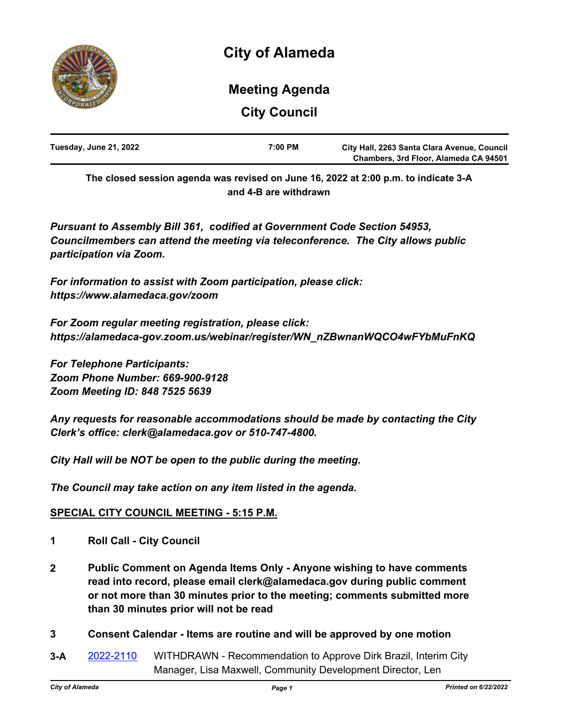

# **Meeting Agenda**

**City Council**

| Tuesday, June 21, 2022 | 7:00 PM | City Hall, 2263 Santa Clara Avenue, Council |
|------------------------|---------|---------------------------------------------|
|                        |         | Chambers, 3rd Floor, Alameda CA 94501       |

**The closed session agenda was revised on June 16, 2022 at 2:00 p.m. to indicate 3-A and 4-B are withdrawn**

*Pursuant to Assembly Bill 361, codified at Government Code Section 54953, Councilmembers can attend the meeting via teleconference. The City allows public participation via Zoom.* 

*For information to assist with Zoom participation, please click: https://www.alamedaca.gov/zoom*

*For Zoom regular meeting registration, please click: https://alamedaca-gov.zoom.us/webinar/register/WN\_nZBwnanWQCO4wFYbMuFnKQ*

*For Telephone Participants: Zoom Phone Number: 669-900-9128 Zoom Meeting ID: 848 7525 5639*

*Any requests for reasonable accommodations should be made by contacting the City Clerk's office: clerk@alamedaca.gov or 510-747-4800.*

*City Hall will be NOT be open to the public during the meeting.*

*The Council may take action on any item listed in the agenda.*

# **SPECIAL CITY COUNCIL MEETING - 5:15 P.M.**

- **1 Roll Call City Council**
- **2 Public Comment on Agenda Items Only Anyone wishing to have comments read into record, please email clerk@alamedaca.gov during public comment or not more than 30 minutes prior to the meeting; comments submitted more than 30 minutes prior will not be read**
- **3 Consent Calendar Items are routine and will be approved by one motion**
- **3-A** [2022-2110](http://alameda.legistar.com/gateway.aspx?m=l&id=/matter.aspx?key=11887) WITHDRAWN Recommendation to Approve Dirk Brazil, Interim City Manager, Lisa Maxwell, Community Development Director, Len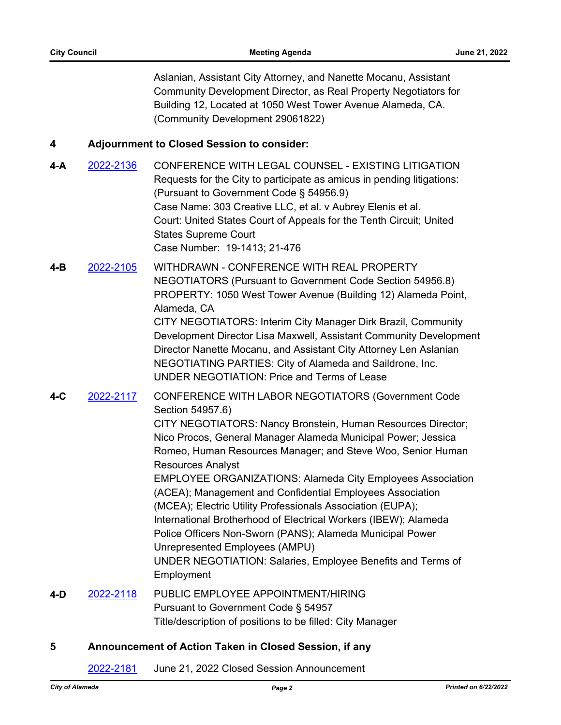Aslanian, Assistant City Attorney, and Nanette Mocanu, Assistant Community Development Director, as Real Property Negotiators for Building 12, Located at 1050 West Tower Avenue Alameda, CA. (Community Development 29061822)

#### **4 Adjournment to Closed Session to consider:**

- **4-A** [2022-2136](http://alameda.legistar.com/gateway.aspx?m=l&id=/matter.aspx?key=11913) CONFERENCE WITH LEGAL COUNSEL EXISTING LITIGATION Requests for the City to participate as amicus in pending litigations: (Pursuant to Government Code § 54956.9) Case Name: 303 Creative LLC, et al. v Aubrey Elenis et al. Court: United States Court of Appeals for the Tenth Circuit; United States Supreme Court Case Number: 19-1413; 21-476
- **4-B** [2022-2105](http://alameda.legistar.com/gateway.aspx?m=l&id=/matter.aspx?key=11882) WITHDRAWN CONFERENCE WITH REAL PROPERTY NEGOTIATORS (Pursuant to Government Code Section 54956.8) PROPERTY: 1050 West Tower Avenue (Building 12) Alameda Point, Alameda, CA CITY NEGOTIATORS: Interim City Manager Dirk Brazil, Community Development Director Lisa Maxwell, Assistant Community Development Director Nanette Mocanu, and Assistant City Attorney Len Aslanian NEGOTIATING PARTIES: City of Alameda and Saildrone, Inc. UNDER NEGOTIATION: Price and Terms of Lease
- **4-C** [2022-2117](http://alameda.legistar.com/gateway.aspx?m=l&id=/matter.aspx?key=11894) CONFERENCE WITH LABOR NEGOTIATORS (Government Code Section 54957.6)

CITY NEGOTIATORS: Nancy Bronstein, Human Resources Director; Nico Procos, General Manager Alameda Municipal Power; Jessica Romeo, Human Resources Manager; and Steve Woo, Senior Human Resources Analyst

EMPLOYEE ORGANIZATIONS: Alameda City Employees Association (ACEA); Management and Confidential Employees Association (MCEA); Electric Utility Professionals Association (EUPA); International Brotherhood of Electrical Workers (IBEW); Alameda Police Officers Non-Sworn (PANS); Alameda Municipal Power Unrepresented Employees (AMPU) UNDER NEGOTIATION: Salaries, Employee Benefits and Terms of

- Employment
- **4-D** [2022-2118](http://alameda.legistar.com/gateway.aspx?m=l&id=/matter.aspx?key=11895) PUBLIC EMPLOYEE APPOINTMENT/HIRING Pursuant to Government Code § 54957 Title/description of positions to be filled: City Manager

#### **5 Announcement of Action Taken in Closed Session, if any**

[2022-2181](http://alameda.legistar.com/gateway.aspx?m=l&id=/matter.aspx?key=11958) June 21, 2022 Closed Session Announcement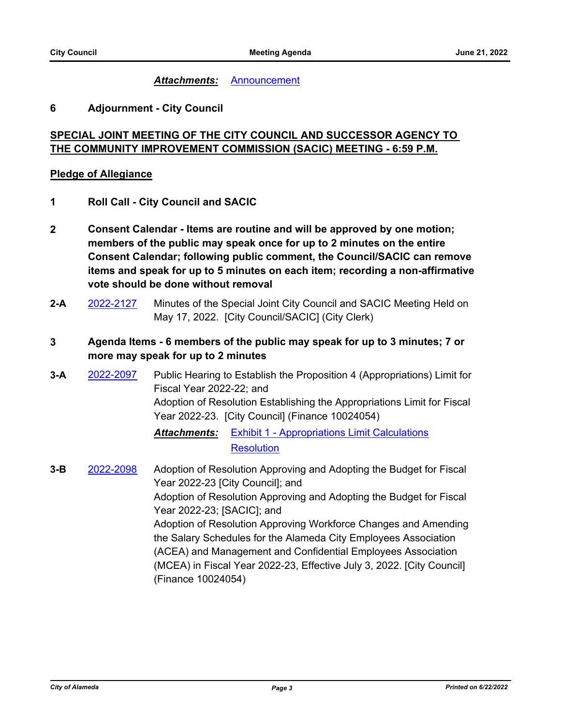#### *Attachments:* [Announcement](http://alameda.legistar.com/gateway.aspx?M=F&ID=698df0d5-083f-4255-8e52-a865203f013d.pdf)

#### **6 Adjournment - City Council**

# **SPECIAL JOINT MEETING OF THE CITY COUNCIL AND SUCCESSOR AGENCY TO THE COMMUNITY IMPROVEMENT COMMISSION (SACIC) MEETING - 6:59 P.M.**

#### **Pledge of Allegiance**

- **1 Roll Call City Council and SACIC**
- **2 Consent Calendar Items are routine and will be approved by one motion; members of the public may speak once for up to 2 minutes on the entire Consent Calendar; following public comment, the Council/SACIC can remove items and speak for up to 5 minutes on each item; recording a non-affirmative vote should be done without removal**
- **2-A** [2022-2127](http://alameda.legistar.com/gateway.aspx?m=l&id=/matter.aspx?key=11904) Minutes of the Special Joint City Council and SACIC Meeting Held on May 17, 2022. [City Council/SACIC] (City Clerk)

### **3 Agenda Items - 6 members of the public may speak for up to 3 minutes; 7 or more may speak for up to 2 minutes**

**3-A** [2022-2097](http://alameda.legistar.com/gateway.aspx?m=l&id=/matter.aspx?key=11874) Public Hearing to Establish the Proposition 4 (Appropriations) Limit for Fiscal Year 2022-22; and Adoption of Resolution Establishing the Appropriations Limit for Fiscal Year 2022-23. [City Council] (Finance 10024054)

# *Attachments:* [Exhibit 1 - Appropriations Limit Calculations](http://alameda.legistar.com/gateway.aspx?M=F&ID=db77d52b-dc12-442d-9ba8-61aef54e7ffe.pdf) **[Resolution](http://alameda.legistar.com/gateway.aspx?M=F&ID=d263fff4-5f80-4a60-b981-4cfe56d77b54.pdf)**

**3-B** [2022-2098](http://alameda.legistar.com/gateway.aspx?m=l&id=/matter.aspx?key=11875) Adoption of Resolution Approving and Adopting the Budget for Fiscal Year 2022-23 [City Council]; and Adoption of Resolution Approving and Adopting the Budget for Fiscal Year 2022-23; [SACIC]; and Adoption of Resolution Approving Workforce Changes and Amending the Salary Schedules for the Alameda City Employees Association (ACEA) and Management and Confidential Employees Association (MCEA) in Fiscal Year 2022-23, Effective July 3, 2022. [City Council] (Finance 10024054)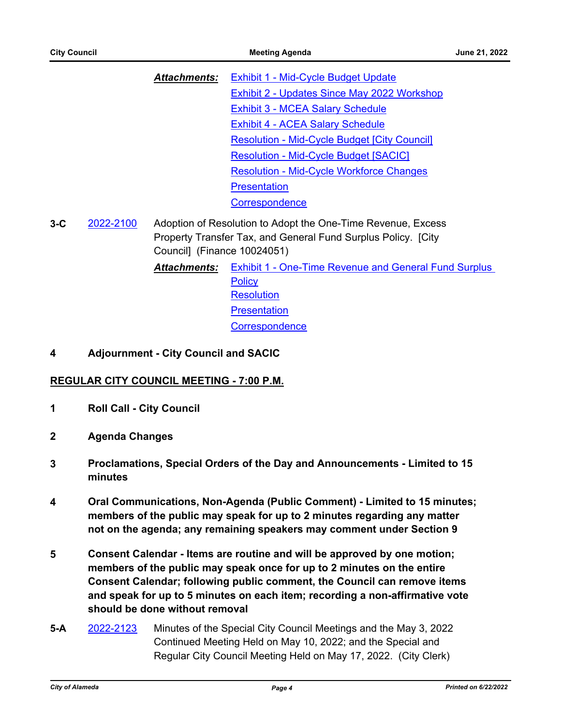| Exhibit 1 - Mid-Cycle Budget Update                 |
|-----------------------------------------------------|
| <b>Exhibit 2 - Updates Since May 2022 Workshop</b>  |
|                                                     |
|                                                     |
| <b>Resolution - Mid-Cycle Budget [City Council]</b> |
| <b>Resolution - Mid-Cycle Budget [SACIC]</b>        |
| <b>Resolution - Mid-Cycle Workforce Changes</b>     |
|                                                     |
|                                                     |
|                                                     |

- **3-C** [2022-2100](http://alameda.legistar.com/gateway.aspx?m=l&id=/matter.aspx?key=11877) Adoption of Resolution to Adopt the One-Time Revenue, Excess Property Transfer Tax, and General Fund Surplus Policy. [City Council] (Finance 10024051)
	- *Attachments:* [Exhibit 1 One-Time Revenue and General Fund Surplus](http://alameda.legistar.com/gateway.aspx?M=F&ID=c7c28c54-a42b-4771-839a-0b965bac20f0.pdf)  **Policy [Resolution](http://alameda.legistar.com/gateway.aspx?M=F&ID=5405b8ad-69e8-4089-a3e3-38bcd038f53d.pdf) [Presentation](http://alameda.legistar.com/gateway.aspx?M=F&ID=138d086a-aa40-4c81-81c6-196d2352ca57.pptx) [Correspondence](http://alameda.legistar.com/gateway.aspx?M=F&ID=b23b15c1-1039-45ef-af34-4f878c6bd05b.pdf)**

#### **4 Adjournment - City Council and SACIC**

#### **REGULAR CITY COUNCIL MEETING - 7:00 P.M.**

- **1 Roll Call City Council**
- **2 Agenda Changes**
- **3 Proclamations, Special Orders of the Day and Announcements Limited to 15 minutes**
- **4 Oral Communications, Non-Agenda (Public Comment) Limited to 15 minutes; members of the public may speak for up to 2 minutes regarding any matter not on the agenda; any remaining speakers may comment under Section 9**
- **5 Consent Calendar Items are routine and will be approved by one motion; members of the public may speak once for up to 2 minutes on the entire Consent Calendar; following public comment, the Council can remove items and speak for up to 5 minutes on each item; recording a non-affirmative vote should be done without removal**
- **5-A** [2022-2123](http://alameda.legistar.com/gateway.aspx?m=l&id=/matter.aspx?key=11900) Minutes of the Special City Council Meetings and the May 3, 2022 Continued Meeting Held on May 10, 2022; and the Special and Regular City Council Meeting Held on May 17, 2022. (City Clerk)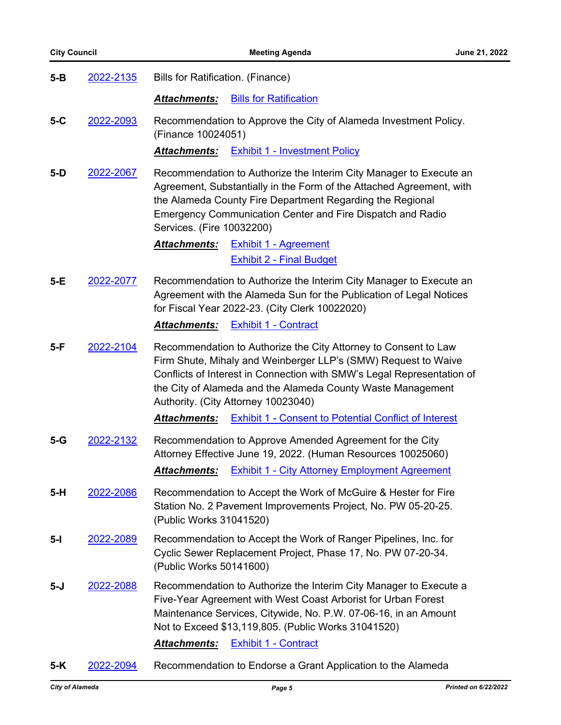| $5-B$ | 2022-2135 | Bills for Ratification. (Finance)                                                                                                                                                                                                                                                                                  |  |
|-------|-----------|--------------------------------------------------------------------------------------------------------------------------------------------------------------------------------------------------------------------------------------------------------------------------------------------------------------------|--|
|       |           | <b>Bills for Ratification</b><br><b>Attachments:</b>                                                                                                                                                                                                                                                               |  |
| $5-C$ | 2022-2093 | Recommendation to Approve the City of Alameda Investment Policy.<br>(Finance 10024051)                                                                                                                                                                                                                             |  |
|       |           | Attachments:<br><b>Exhibit 1 - Investment Policy</b>                                                                                                                                                                                                                                                               |  |
| $5-D$ | 2022-2067 | Recommendation to Authorize the Interim City Manager to Execute an<br>Agreement, Substantially in the Form of the Attached Agreement, with<br>the Alameda County Fire Department Regarding the Regional<br>Emergency Communication Center and Fire Dispatch and Radio<br>Services. (Fire 10032200)                 |  |
|       |           | <b>Exhibit 1 - Agreement</b><br><b>Attachments:</b><br><b>Exhibit 2 - Final Budget</b>                                                                                                                                                                                                                             |  |
| $5-E$ | 2022-2077 | Recommendation to Authorize the Interim City Manager to Execute an<br>Agreement with the Alameda Sun for the Publication of Legal Notices<br>for Fiscal Year 2022-23. (City Clerk 10022020)                                                                                                                        |  |
|       |           | <b>Exhibit 1 - Contract</b><br><b>Attachments:</b>                                                                                                                                                                                                                                                                 |  |
| $5-F$ | 2022-2104 | Recommendation to Authorize the City Attorney to Consent to Law<br>Firm Shute, Mihaly and Weinberger LLP's (SMW) Request to Waive<br>Conflicts of Interest in Connection with SMW's Legal Representation of<br>the City of Alameda and the Alameda County Waste Management<br>Authority. (City Attorney 10023040)  |  |
|       |           | <b>Attachments:</b><br><b>Exhibit 1 - Consent to Potential Conflict of Interest</b>                                                                                                                                                                                                                                |  |
| $5-G$ | 2022-2132 | Recommendation to Approve Amended Agreement for the City<br>Attorney Effective June 19, 2022. (Human Resources 10025060)<br><b>Exhibit 1 - City Attorney Employment Agreement</b><br><b>Attachments:</b>                                                                                                           |  |
| $5-H$ | 2022-2086 | Recommendation to Accept the Work of McGuire & Hester for Fire<br>Station No. 2 Pavement Improvements Project, No. PW 05-20-25.<br>(Public Works 31041520)                                                                                                                                                         |  |
| $5-I$ | 2022-2089 | Recommendation to Accept the Work of Ranger Pipelines, Inc. for<br>Cyclic Sewer Replacement Project, Phase 17, No. PW 07-20-34.<br>(Public Works 50141600)                                                                                                                                                         |  |
| 5-J   | 2022-2088 | Recommendation to Authorize the Interim City Manager to Execute a<br>Five-Year Agreement with West Coast Arborist for Urban Forest<br>Maintenance Services, Citywide, No. P.W. 07-06-16, in an Amount<br>Not to Exceed \$13,119,805. (Public Works 31041520)<br><b>Attachments:</b><br><b>Exhibit 1 - Contract</b> |  |

**5-K** [2022-2094](http://alameda.legistar.com/gateway.aspx?m=l&id=/matter.aspx?key=11871) Recommendation to Endorse a Grant Application to the Alameda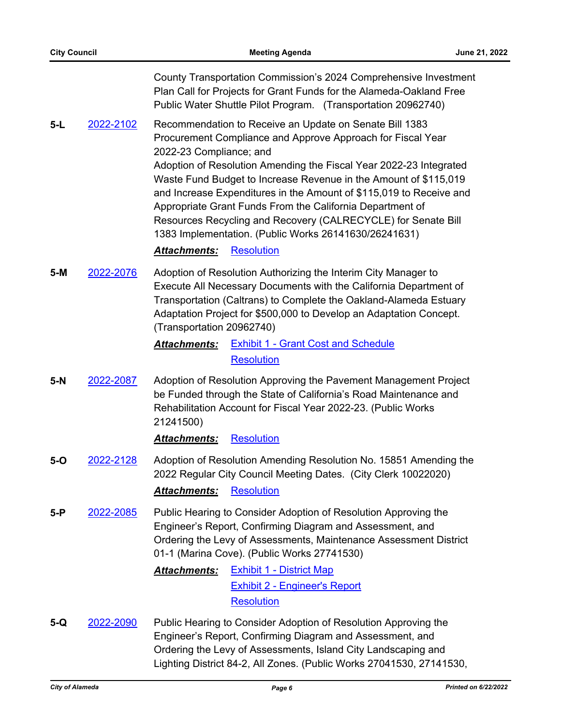County Transportation Commission's 2024 Comprehensive Investment Plan Call for Projects for Grant Funds for the Alameda-Oakland Free Public Water Shuttle Pilot Program. (Transportation 20962740)

**5-L** [2022-2102](http://alameda.legistar.com/gateway.aspx?m=l&id=/matter.aspx?key=11879) Recommendation to Receive an Update on Senate Bill 1383 Procurement Compliance and Approve Approach for Fiscal Year 2022-23 Compliance; and

> Adoption of Resolution Amending the Fiscal Year 2022-23 Integrated Waste Fund Budget to Increase Revenue in the Amount of \$115,019 and Increase Expenditures in the Amount of \$115,019 to Receive and Appropriate Grant Funds From the California Department of Resources Recycling and Recovery (CALRECYCLE) for Senate Bill 1383 Implementation. (Public Works 26141630/26241631)

#### *Attachments:* [Resolution](http://alameda.legistar.com/gateway.aspx?M=F&ID=fec91dd2-6ed5-4fe2-85cf-674ffaff7412.pdf)

**5-M** [2022-2076](http://alameda.legistar.com/gateway.aspx?m=l&id=/matter.aspx?key=11853) Adoption of Resolution Authorizing the Interim City Manager to Execute All Necessary Documents with the California Department of Transportation (Caltrans) to Complete the Oakland-Alameda Estuary Adaptation Project for \$500,000 to Develop an Adaptation Concept. (Transportation 20962740)

> *Attachments:* [Exhibit 1 - Grant Cost and Schedule](http://alameda.legistar.com/gateway.aspx?M=F&ID=9cc095f5-29d5-40cb-9cdc-29c214079d68.pdf) **[Resolution](http://alameda.legistar.com/gateway.aspx?M=F&ID=fea89490-7829-43d1-9636-de26547d8c1b.pdf)**

**5-N** [2022-2087](http://alameda.legistar.com/gateway.aspx?m=l&id=/matter.aspx?key=11864) Adoption of Resolution Approving the Pavement Management Project be Funded through the State of California's Road Maintenance and Rehabilitation Account for Fiscal Year 2022-23. (Public Works 21241500)

#### *Attachments:* [Resolution](http://alameda.legistar.com/gateway.aspx?M=F&ID=99bf8590-329b-47c6-873a-f2dc98584d59.pdf)

- **5-O** [2022-2128](http://alameda.legistar.com/gateway.aspx?m=l&id=/matter.aspx?key=11905) Adoption of Resolution Amending Resolution No. 15851 Amending the 2022 Regular City Council Meeting Dates. (City Clerk 10022020) *Attachments:* [Resolution](http://alameda.legistar.com/gateway.aspx?M=F&ID=3d29b907-3173-4fbe-ab5f-d3f562a4bfe2.pdf)
- **5-P** [2022-2085](http://alameda.legistar.com/gateway.aspx?m=l&id=/matter.aspx?key=11862) Public Hearing to Consider Adoption of Resolution Approving the Engineer's Report, Confirming Diagram and Assessment, and Ordering the Levy of Assessments, Maintenance Assessment District 01-1 (Marina Cove). (Public Works 27741530)

# *Attachments:* [Exhibit 1 - District Map](http://alameda.legistar.com/gateway.aspx?M=F&ID=c304f8dc-5194-49b1-b146-b99b411a95e4.pdf) [Exhibit 2 - Engineer's Report](http://alameda.legistar.com/gateway.aspx?M=F&ID=fb02a8be-0601-454f-a2ea-4eda7a34e7ee.pdf) **[Resolution](http://alameda.legistar.com/gateway.aspx?M=F&ID=4d9eee70-0276-406f-984e-2f837e347087.pdf)**

**5-Q** [2022-2090](http://alameda.legistar.com/gateway.aspx?m=l&id=/matter.aspx?key=11867) Public Hearing to Consider Adoption of Resolution Approving the Engineer's Report, Confirming Diagram and Assessment, and Ordering the Levy of Assessments, Island City Landscaping and Lighting District 84-2, All Zones. (Public Works 27041530, 27141530,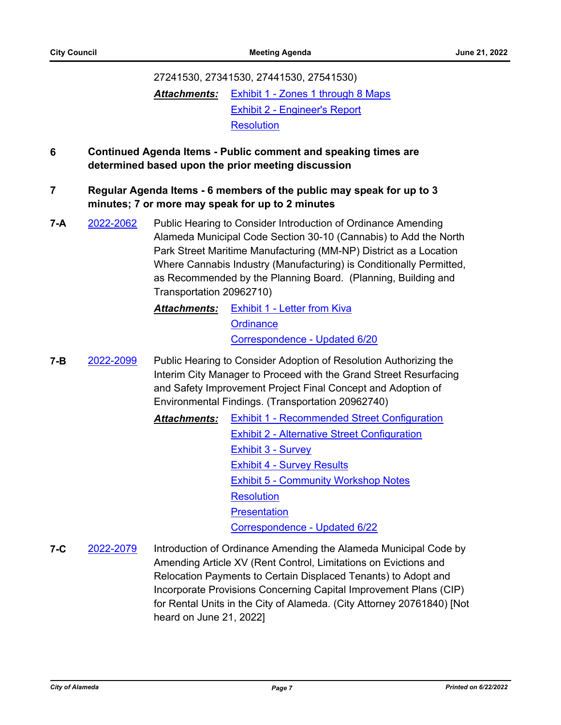# 27241530, 27341530, 27441530, 27541530) *Attachments:* [Exhibit 1 - Zones 1 through 8 Maps](http://alameda.legistar.com/gateway.aspx?M=F&ID=d5838576-792e-4fb3-9329-04e7f716097c.pdf) [Exhibit 2 - Engineer's Report](http://alameda.legistar.com/gateway.aspx?M=F&ID=8970acb0-5b77-45ef-aca6-3f9195127990.pdf) **[Resolution](http://alameda.legistar.com/gateway.aspx?M=F&ID=817a5db4-22c6-40ec-b7cc-27972c6555b0.pdf)**

# **6 Continued Agenda Items - Public comment and speaking times are determined based upon the prior meeting discussion**

# **7 Regular Agenda Items - 6 members of the public may speak for up to 3 minutes; 7 or more may speak for up to 2 minutes**

- **7-A** [2022-2062](http://alameda.legistar.com/gateway.aspx?m=l&id=/matter.aspx?key=11839) Public Hearing to Consider Introduction of Ordinance Amending Alameda Municipal Code Section 30-10 (Cannabis) to Add the North Park Street Maritime Manufacturing (MM-NP) District as a Location Where Cannabis Industry (Manufacturing) is Conditionally Permitted, as Recommended by the Planning Board. (Planning, Building and Transportation 20962710)
	- *Attachments:* [Exhibit 1 Letter from Kiva](http://alameda.legistar.com/gateway.aspx?M=F&ID=fa07acc7-2f85-49d4-926e-cbcc666a0afe.pdf) **[Ordinance](http://alameda.legistar.com/gateway.aspx?M=F&ID=c7a8dfb0-ba26-4b4a-aeae-75ef59a00158.pdf)** [Correspondence - Updated 6/20](http://alameda.legistar.com/gateway.aspx?M=F&ID=ca9779eb-a56c-4724-90ab-7bdd5d3b52e0.pdf)
- **7-B** [2022-2099](http://alameda.legistar.com/gateway.aspx?m=l&id=/matter.aspx?key=11876) Public Hearing to Consider Adoption of Resolution Authorizing the Interim City Manager to Proceed with the Grand Street Resurfacing and Safety Improvement Project Final Concept and Adoption of Environmental Findings. (Transportation 20962740)

*Attachments:* [Exhibit 1 - Recommended Street Configuration](http://alameda.legistar.com/gateway.aspx?M=F&ID=b069359e-c1c0-4307-99e2-4715adf4bd61.pdf) [Exhibit 2 - Alternative Street Configuration](http://alameda.legistar.com/gateway.aspx?M=F&ID=ce788c7a-acf0-434c-8f20-45d2212ffd4e.pdf) [Exhibit 3 - Survey](http://alameda.legistar.com/gateway.aspx?M=F&ID=a2220240-753f-4656-8993-5d42a80dcc7b.pdf) [Exhibit 4 - Survey Results](http://alameda.legistar.com/gateway.aspx?M=F&ID=547fb355-244f-4834-86b6-4e1de33ac046.pdf) [Exhibit 5 - Community Workshop Notes](http://alameda.legistar.com/gateway.aspx?M=F&ID=7ae19b57-8407-4e28-b251-5490705c32ec.pdf) **[Resolution](http://alameda.legistar.com/gateway.aspx?M=F&ID=b960848b-f025-416b-9056-e94f8bff311f.pdf) [Presentation](http://alameda.legistar.com/gateway.aspx?M=F&ID=3b99100d-a180-455e-b1fc-93eb89775d7e.pdf)** [Correspondence - Updated 6/22](http://alameda.legistar.com/gateway.aspx?M=F&ID=39e38ea9-5314-4aa0-80c1-41b2ad522dba.pdf)

**7-C** [2022-2079](http://alameda.legistar.com/gateway.aspx?m=l&id=/matter.aspx?key=11856) Introduction of Ordinance Amending the Alameda Municipal Code by Amending Article XV (Rent Control, Limitations on Evictions and Relocation Payments to Certain Displaced Tenants) to Adopt and Incorporate Provisions Concerning Capital Improvement Plans (CIP) for Rental Units in the City of Alameda. (City Attorney 20761840) [Not heard on June 21, 2022]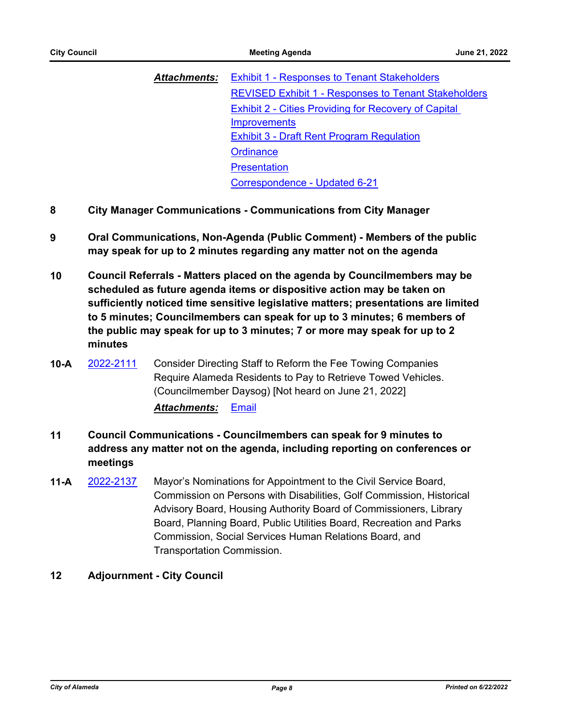| <b>Attachments:</b> | <b>Exhibit 1 - Responses to Tenant Stakeholders</b>         |  |
|---------------------|-------------------------------------------------------------|--|
|                     | <b>REVISED Exhibit 1 - Responses to Tenant Stakeholders</b> |  |
|                     | <b>Exhibit 2 - Cities Providing for Recovery of Capital</b> |  |
|                     | <b>Improvements</b>                                         |  |
|                     | <b>Exhibit 3 - Draft Rent Program Regulation</b>            |  |
|                     | Ordinance                                                   |  |
|                     | <b>Presentation</b>                                         |  |
|                     | Correspondence - Updated 6-21                               |  |

- **8 City Manager Communications Communications from City Manager**
- **9 Oral Communications, Non-Agenda (Public Comment) Members of the public may speak for up to 2 minutes regarding any matter not on the agenda**
- **10 Council Referrals Matters placed on the agenda by Councilmembers may be scheduled as future agenda items or dispositive action may be taken on sufficiently noticed time sensitive legislative matters; presentations are limited to 5 minutes; Councilmembers can speak for up to 3 minutes; 6 members of the public may speak for up to 3 minutes; 7 or more may speak for up to 2 minutes**
- **10-A** [2022-2111](http://alameda.legistar.com/gateway.aspx?m=l&id=/matter.aspx?key=11888) Consider Directing Staff to Reform the Fee Towing Companies Require Alameda Residents to Pay to Retrieve Towed Vehicles. (Councilmember Daysog) [Not heard on June 21, 2022] *Attachments:* [Email](http://alameda.legistar.com/gateway.aspx?M=F&ID=591370f8-cfc3-415c-8154-3edf7506c21a.pdf)
- **11 Council Communications Councilmembers can speak for 9 minutes to address any matter not on the agenda, including reporting on conferences or meetings**
- **11-A** [2022-2137](http://alameda.legistar.com/gateway.aspx?m=l&id=/matter.aspx?key=11914) Mayor's Nominations for Appointment to the Civil Service Board, Commission on Persons with Disabilities, Golf Commission, Historical Advisory Board, Housing Authority Board of Commissioners, Library Board, Planning Board, Public Utilities Board, Recreation and Parks Commission, Social Services Human Relations Board, and Transportation Commission.

# **12 Adjournment - City Council**